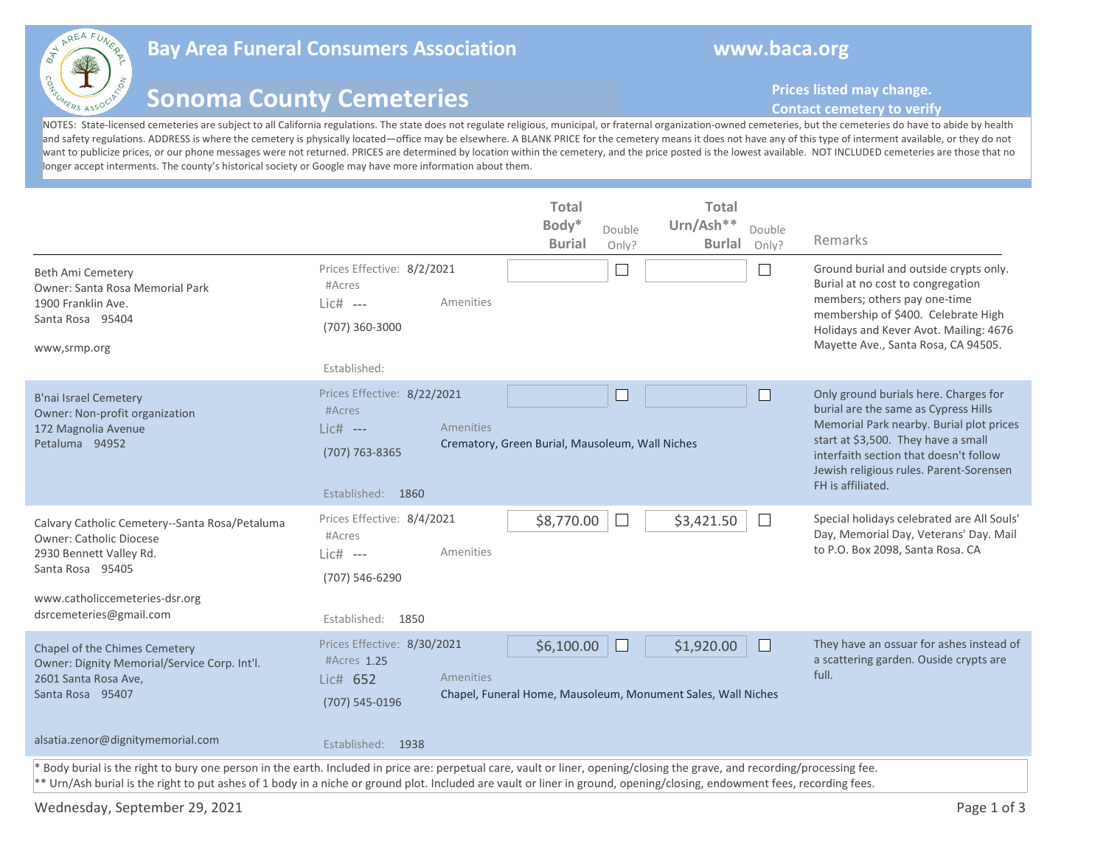

## **Bay Area Funeral Consumers Association Mateural Consumers Association Resource Avenue Avenue Avenue Avenue Ave**

## **Sonoma County Cemeteries**

**Prices listed may change.** 

## **Contact cemetery to verify**

NOTES: State-licensed cemeteries are subject to all California regulations. The state does not regulate religious, municipal, or fraternal organization-owned cemeteries, but the cemeteries do have to abide by health and safety regulations. ADDRESS is where the cemetery is physically located—office may be elsewhere. A BLANK PRICE for the cemetery means it does not have any of this type of interment available, or they do not want to publicize prices, or our phone messages were not returned. PRICES are determined by location within the cemetery, and the price posted is the lowest available. NOT INCLUDED cemeteries are those that no longer accept interments. The county's historical society or Google may have more information about them.

| <b>Beth Ami Cemetery</b><br>Owner: Santa Rosa Memorial Park<br>1900 Franklin Ave.<br>Santa Rosa 95404<br>www,srmp.org                                                                                                                                                                                                                                   | Prices Effective: 8/2/2021<br>#Acres<br>Amenities<br>$Lic#$ ---<br>(707) 360-3000<br>Established:          | <b>Total</b><br>Body*<br><b>Burial</b>          | Double<br>Only?<br>$\mathbf{L}$ | <b>Total</b><br>Urn/Ash**<br><b>Burlal</b>                                 | Double<br>Only? | Remarks<br>Ground burial and outside crypts only.<br>Burial at no cost to congregation<br>members; others pay one-time<br>membership of \$400. Celebrate High<br>Holidays and Kever Avot. Mailing: 4676<br>Mayette Ave., Santa Rosa, CA 94505.                             |
|---------------------------------------------------------------------------------------------------------------------------------------------------------------------------------------------------------------------------------------------------------------------------------------------------------------------------------------------------------|------------------------------------------------------------------------------------------------------------|-------------------------------------------------|---------------------------------|----------------------------------------------------------------------------|-----------------|----------------------------------------------------------------------------------------------------------------------------------------------------------------------------------------------------------------------------------------------------------------------------|
| <b>B'nai Israel Cemetery</b><br>Owner: Non-profit organization<br>172 Magnolia Avenue<br>Petaluma 94952                                                                                                                                                                                                                                                 | Prices Effective: 8/22/2021<br>#Acres<br>Amenities<br>$Lic#$ ---<br>(707) 763-8365<br>Established: 1860    | Crematory, Green Burial, Mausoleum, Wall Niches |                                 |                                                                            |                 | Only ground burials here. Charges for<br>burial are the same as Cypress Hills<br>Memorial Park nearby. Burial plot prices<br>start at \$3,500. They have a small<br>interfaith section that doesn't follow<br>Jewish religious rules. Parent-Sorensen<br>FH is affiliated. |
| Calvary Catholic Cemetery--Santa Rosa/Petaluma<br>Owner: Catholic Diocese<br>2930 Bennett Valley Rd.<br>Santa Rosa 95405<br>www.catholiccemeteries-dsr.org<br>dsrcemeteries@gmail.com                                                                                                                                                                   | Prices Effective: 8/4/2021<br>#Acres<br>Amenities<br>Lic# ---<br>(707) 546-6290<br>Established: 1850       | \$8,770.00                                      | $\mathbf{L}$                    | \$3,421.50                                                                 | $\mathbf{I}$    | Special holidays celebrated are All Souls'<br>Day, Memorial Day, Veterans' Day. Mail<br>to P.O. Box 2098, Santa Rosa. CA                                                                                                                                                   |
| Chapel of the Chimes Cemetery<br>Owner: Dignity Memorial/Service Corp. Int'l.<br>2601 Santa Rosa Ave,<br>Santa Rosa 95407<br>alsatia.zenor@dignitymemorial.com                                                                                                                                                                                          | Prices Effective: 8/30/2021<br>#Acres 1.25<br>Amenities<br>Lic# 652<br>(707) 545-0196<br>Established: 1938 | \$6,100.00                                      |                                 | \$1,920.00<br>Chapel, Funeral Home, Mausoleum, Monument Sales, Wall Niches |                 | They have an ossuar for ashes instead of<br>a scattering garden. Ouside crypts are<br>full.                                                                                                                                                                                |
| * Body burial is the right to bury one person in the earth. Included in price are: perpetual care, vault or liner, opening/closing the grave, and recording/processing fee.<br>** Urn/Ash burial is the right to put ashes of 1 body in a niche or ground plot. Included are vault or liner in ground, opening/closing, endowment fees, recording fees. |                                                                                                            |                                                 |                                 |                                                                            |                 |                                                                                                                                                                                                                                                                            |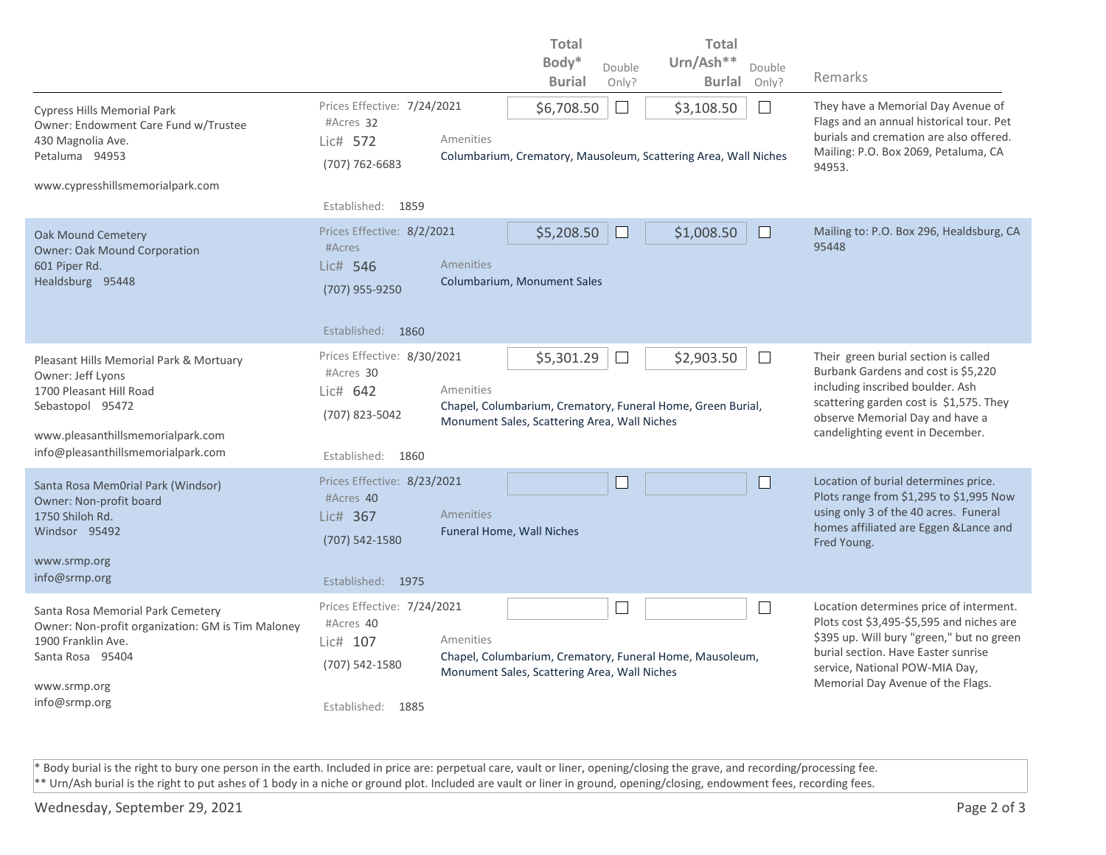|                                                                                                              |                                          |                                                                              | <b>Total</b>                                                                                                |                                                                            | <b>Total</b>                                                                         |                                                                                                                           |
|--------------------------------------------------------------------------------------------------------------|------------------------------------------|------------------------------------------------------------------------------|-------------------------------------------------------------------------------------------------------------|----------------------------------------------------------------------------|--------------------------------------------------------------------------------------|---------------------------------------------------------------------------------------------------------------------------|
|                                                                                                              |                                          |                                                                              | Body*                                                                                                       | Double                                                                     | Urn/Ash**<br>Double                                                                  |                                                                                                                           |
|                                                                                                              |                                          |                                                                              | <b>Burial</b>                                                                                               | Only?                                                                      | <b>Burlal</b><br>Only?                                                               | Remarks                                                                                                                   |
| <b>Cypress Hills Memorial Park</b><br>Owner: Endowment Care Fund w/Trustee                                   | Prices Effective: 7/24/2021<br>#Acres 32 |                                                                              | \$6,708.50                                                                                                  | $\Box$                                                                     | \$3,108.50<br>$\mathbb{R}^n$                                                         | They have a Memorial Day Avenue of<br>Flags and an annual historical tour. Pet<br>burials and cremation are also offered. |
| 430 Magnolia Ave.<br>Petaluma 94953                                                                          | Lic# 572<br>(707) 762-6683               | Amenities<br>Columbarium, Crematory, Mausoleum, Scattering Area, Wall Niches |                                                                                                             |                                                                            |                                                                                      | Mailing: P.O. Box 2069, Petaluma, CA<br>94953.                                                                            |
| www.cypresshillsmemorialpark.com                                                                             |                                          |                                                                              |                                                                                                             |                                                                            |                                                                                      |                                                                                                                           |
|                                                                                                              | Established:<br>1859                     |                                                                              |                                                                                                             |                                                                            |                                                                                      |                                                                                                                           |
| Oak Mound Cemetery<br><b>Owner: Oak Mound Corporation</b>                                                    | Prices Effective: 8/2/2021<br>#Acres     |                                                                              | \$5,208.50                                                                                                  |                                                                            | \$1,008.50                                                                           | Mailing to: P.O. Box 296, Healdsburg, CA<br>95448                                                                         |
| 601 Piper Rd.<br>Healdsburg 95448                                                                            | Lic# 546                                 | Amenities                                                                    | Columbarium, Monument Sales                                                                                 |                                                                            |                                                                                      |                                                                                                                           |
|                                                                                                              | (707) 955-9250                           |                                                                              |                                                                                                             |                                                                            |                                                                                      |                                                                                                                           |
|                                                                                                              | Established:<br>1860                     |                                                                              |                                                                                                             |                                                                            |                                                                                      |                                                                                                                           |
| Pleasant Hills Memorial Park & Mortuary                                                                      | Prices Effective: 8/30/2021<br>#Acres 30 | \$2,903.50<br>\$5,301.29<br>$\Box$                                           |                                                                                                             |                                                                            |                                                                                      | Their green burial section is called<br>Burbank Gardens and cost is \$5,220                                               |
| Owner: Jeff Lyons<br>1700 Pleasant Hill Road                                                                 | Lic# 642                                 | Amenities                                                                    |                                                                                                             |                                                                            |                                                                                      | including inscribed boulder. Ash                                                                                          |
| Sebastopol 95472                                                                                             | (707) 823-5042                           |                                                                              | Chapel, Columbarium, Crematory, Funeral Home, Green Burial,<br>Monument Sales, Scattering Area, Wall Niches | scattering garden cost is \$1,575. They<br>observe Memorial Day and have a |                                                                                      |                                                                                                                           |
| www.pleasanthillsmemorialpark.com<br>info@pleasanthillsmemorialpark.com                                      |                                          |                                                                              |                                                                                                             |                                                                            |                                                                                      | candelighting event in December.                                                                                          |
|                                                                                                              | Established: 1860                        |                                                                              |                                                                                                             |                                                                            |                                                                                      |                                                                                                                           |
| Santa Rosa MemOrial Park (Windsor)                                                                           | Prices Effective: 8/23/2021<br>#Acres 40 |                                                                              |                                                                                                             |                                                                            | H.                                                                                   | Location of burial determines price.<br>Plots range from \$1,295 to \$1,995 Now                                           |
| Owner: Non-profit board<br>1750 Shiloh Rd.                                                                   | Lic# 367                                 | Amenities                                                                    |                                                                                                             |                                                                            |                                                                                      | using only 3 of the 40 acres. Funeral<br>homes affiliated are Eggen & Lance and                                           |
| Windsor 95492                                                                                                | (707) 542-1580                           |                                                                              | Funeral Home, Wall Niches                                                                                   |                                                                            |                                                                                      | Fred Young.                                                                                                               |
| www.srmp.org                                                                                                 |                                          |                                                                              |                                                                                                             |                                                                            |                                                                                      |                                                                                                                           |
| info@srmp.org                                                                                                | Established: 1975                        |                                                                              |                                                                                                             |                                                                            |                                                                                      |                                                                                                                           |
| Santa Rosa Memorial Park Cemetery<br>Owner: Non-profit organization: GM is Tim Maloney<br>1900 Franklin Ave. | Prices Effective: 7/24/2021<br>#Acres 40 | $\overline{\phantom{a}}$<br>$\Box$                                           |                                                                                                             |                                                                            | Location determines price of interment.<br>Plots cost \$3,495-\$5,595 and niches are |                                                                                                                           |
|                                                                                                              | Lic# 107                                 | Amenities                                                                    |                                                                                                             |                                                                            |                                                                                      | \$395 up. Will bury "green," but no green<br>burial section. Have Easter sunrise                                          |
| Santa Rosa 95404                                                                                             | (707) 542-1580                           |                                                                              | Chapel, Columbarium, Crematory, Funeral Home, Mausoleum,<br>Monument Sales, Scattering Area, Wall Niches    | service, National POW-MIA Day,                                             |                                                                                      |                                                                                                                           |
| www.srmp.org                                                                                                 |                                          |                                                                              |                                                                                                             |                                                                            |                                                                                      | Memorial Day Avenue of the Flags.                                                                                         |
| info@srmp.org                                                                                                | Established: 1885                        |                                                                              |                                                                                                             |                                                                            |                                                                                      |                                                                                                                           |

\* Body burial is the right to bury one person in the earth. Included in price are: perpetual care, vault or liner, opening/closing the grave, and recording/processing fee. \*\* Urn/Ash burial is the right to put ashes of 1 body in a niche or ground plot. Included are vault or liner in ground, opening/closing, endowment fees, recording fees.